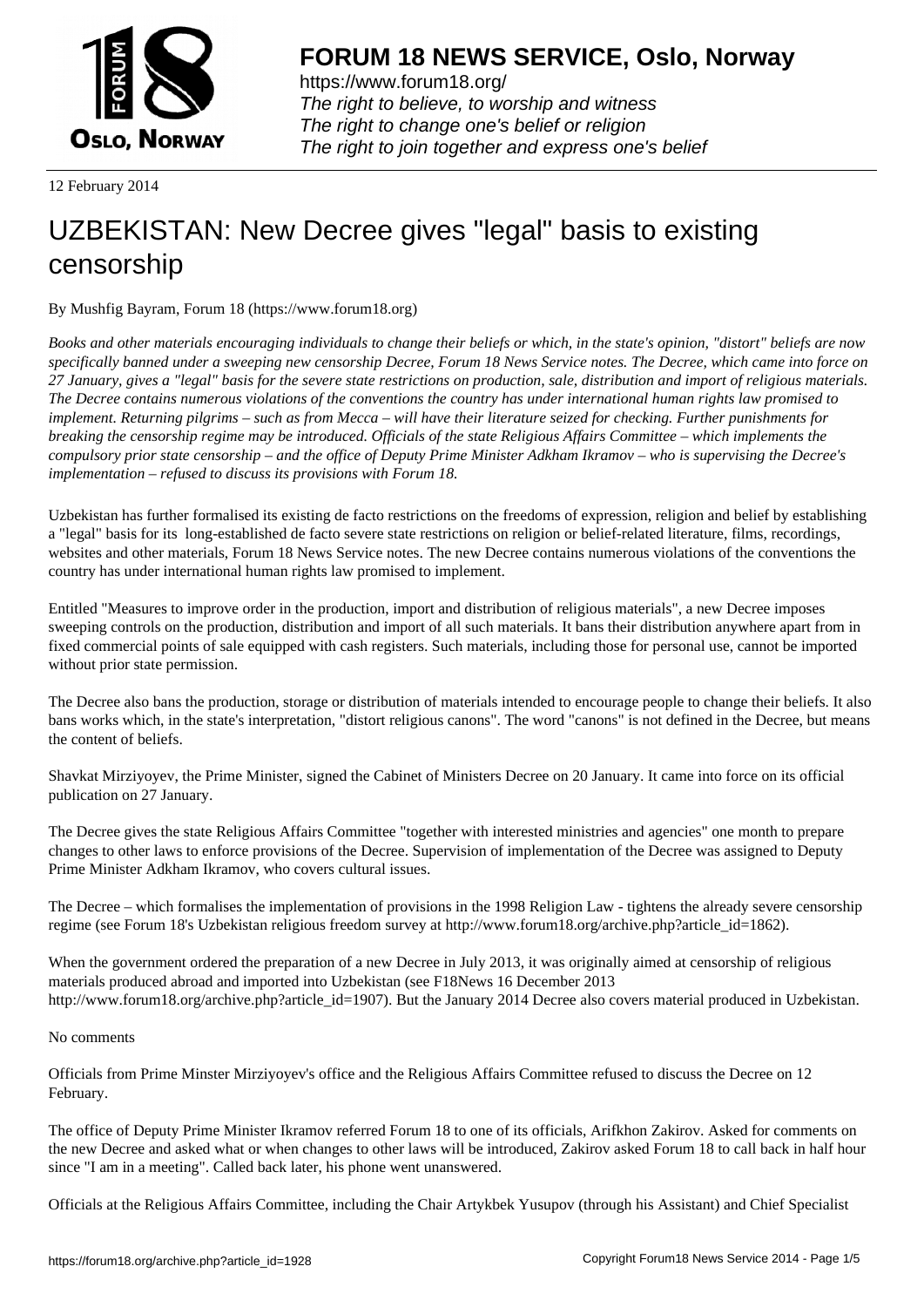

https://www.forum18.org/ The right to believe, to worship and witness The right to change one's belief or religion [The right to join together a](https://www.forum18.org/)nd express one's belief

12 February 2014

## [UZBEKISTAN:](https://www.forum18.org) New Decree gives "legal" basis to existing censorship

By Mushfig Bayram, Forum 18 (https://www.forum18.org)

*Books and other materials encouraging individuals to change their beliefs or which, in the state's opinion, "distort" beliefs are now specifically banned under a sweeping new censorship Decree, Forum 18 News Service notes. The Decree, which came into force on 27 January, gives a "legal" basis for the severe state restrictions on production, sale, distribution and import of religious materials. The Decree contains numerous violations of the conventions the country has under international human rights law promised to implement. Returning pilgrims – such as from Mecca – will have their literature seized for checking. Further punishments for breaking the censorship regime may be introduced. Officials of the state Religious Affairs Committee – which implements the compulsory prior state censorship – and the office of Deputy Prime Minister Adkham Ikramov – who is supervising the Decree's implementation – refused to discuss its provisions with Forum 18.*

Uzbekistan has further formalised its existing de facto restrictions on the freedoms of expression, religion and belief by establishing a "legal" basis for its long-established de facto severe state restrictions on religion or belief-related literature, films, recordings, websites and other materials, Forum 18 News Service notes. The new Decree contains numerous violations of the conventions the country has under international human rights law promised to implement.

Entitled "Measures to improve order in the production, import and distribution of religious materials", a new Decree imposes sweeping controls on the production, distribution and import of all such materials. It bans their distribution anywhere apart from in fixed commercial points of sale equipped with cash registers. Such materials, including those for personal use, cannot be imported without prior state permission.

The Decree also bans the production, storage or distribution of materials intended to encourage people to change their beliefs. It also bans works which, in the state's interpretation, "distort religious canons". The word "canons" is not defined in the Decree, but means the content of beliefs.

Shavkat Mirziyoyev, the Prime Minister, signed the Cabinet of Ministers Decree on 20 January. It came into force on its official publication on 27 January.

The Decree gives the state Religious Affairs Committee "together with interested ministries and agencies" one month to prepare changes to other laws to enforce provisions of the Decree. Supervision of implementation of the Decree was assigned to Deputy Prime Minister Adkham Ikramov, who covers cultural issues.

The Decree – which formalises the implementation of provisions in the 1998 Religion Law - tightens the already severe censorship regime (see Forum 18's Uzbekistan religious freedom survey at http://www.forum18.org/archive.php?article\_id=1862).

When the government ordered the preparation of a new Decree in July 2013, it was originally aimed at censorship of religious materials produced abroad and imported into Uzbekistan (see F18News 16 December 2013 http://www.forum18.org/archive.php?article\_id=1907). But the January 2014 Decree also covers material produced in Uzbekistan.

## No comments

Officials from Prime Minster Mirziyoyev's office and the Religious Affairs Committee refused to discuss the Decree on 12 February.

The office of Deputy Prime Minister Ikramov referred Forum 18 to one of its officials, Arifkhon Zakirov. Asked for comments on the new Decree and asked what or when changes to other laws will be introduced, Zakirov asked Forum 18 to call back in half hour since "I am in a meeting". Called back later, his phone went unanswered.

Officials at the Religious Affairs Committee, including the Chair Artykbek Yusupov (through his Assistant) and Chief Specialist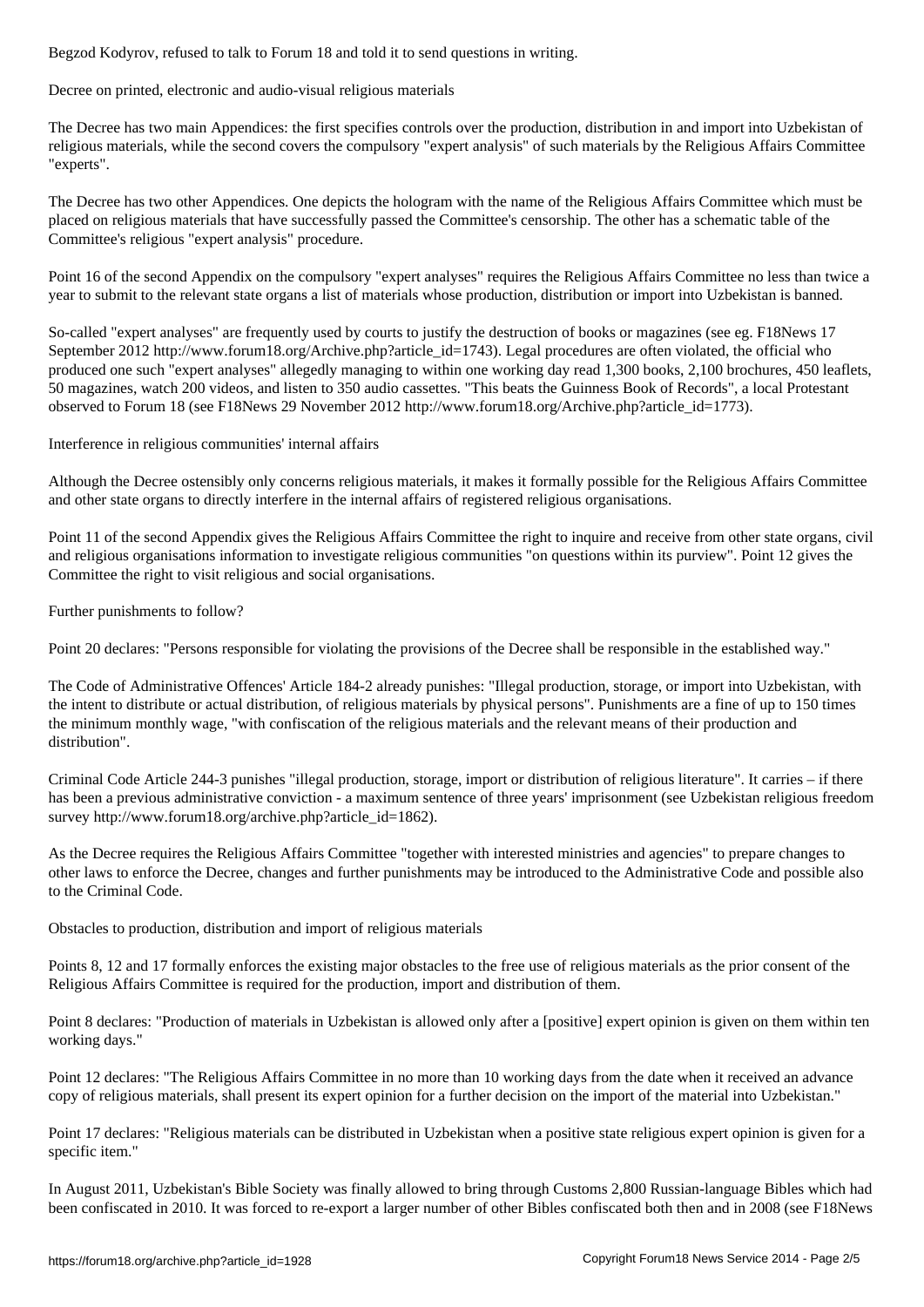Decree on printed, electronic and audio-visual religious materials

The Decree has two main Appendices: the first specifies controls over the production, distribution in and import into Uzbekistan of religious materials, while the second covers the compulsory "expert analysis" of such materials by the Religious Affairs Committee "experts".

The Decree has two other Appendices. One depicts the hologram with the name of the Religious Affairs Committee which must be placed on religious materials that have successfully passed the Committee's censorship. The other has a schematic table of the Committee's religious "expert analysis" procedure.

Point 16 of the second Appendix on the compulsory "expert analyses" requires the Religious Affairs Committee no less than twice a year to submit to the relevant state organs a list of materials whose production, distribution or import into Uzbekistan is banned.

So-called "expert analyses" are frequently used by courts to justify the destruction of books or magazines (see eg. F18News 17 September 2012 http://www.forum18.org/Archive.php?article\_id=1743). Legal procedures are often violated, the official who produced one such "expert analyses" allegedly managing to within one working day read 1,300 books, 2,100 brochures, 450 leaflets, 50 magazines, watch 200 videos, and listen to 350 audio cassettes. "This beats the Guinness Book of Records", a local Protestant observed to Forum 18 (see F18News 29 November 2012 http://www.forum18.org/Archive.php?article\_id=1773).

Interference in religious communities' internal affairs

Although the Decree ostensibly only concerns religious materials, it makes it formally possible for the Religious Affairs Committee and other state organs to directly interfere in the internal affairs of registered religious organisations.

Point 11 of the second Appendix gives the Religious Affairs Committee the right to inquire and receive from other state organs, civil and religious organisations information to investigate religious communities "on questions within its purview". Point 12 gives the Committee the right to visit religious and social organisations.

Further punishments to follow?

Point 20 declares: "Persons responsible for violating the provisions of the Decree shall be responsible in the established way."

The Code of Administrative Offences' Article 184-2 already punishes: "Illegal production, storage, or import into Uzbekistan, with the intent to distribute or actual distribution, of religious materials by physical persons". Punishments are a fine of up to 150 times the minimum monthly wage, "with confiscation of the religious materials and the relevant means of their production and distribution".

Criminal Code Article 244-3 punishes "illegal production, storage, import or distribution of religious literature". It carries – if there has been a previous administrative conviction - a maximum sentence of three years' imprisonment (see Uzbekistan religious freedom survey http://www.forum18.org/archive.php?article\_id=1862).

As the Decree requires the Religious Affairs Committee "together with interested ministries and agencies" to prepare changes to other laws to enforce the Decree, changes and further punishments may be introduced to the Administrative Code and possible also to the Criminal Code.

Obstacles to production, distribution and import of religious materials

Points 8, 12 and 17 formally enforces the existing major obstacles to the free use of religious materials as the prior consent of the Religious Affairs Committee is required for the production, import and distribution of them.

Point 8 declares: "Production of materials in Uzbekistan is allowed only after a [positive] expert opinion is given on them within ten working days."

Point 12 declares: "The Religious Affairs Committee in no more than 10 working days from the date when it received an advance copy of religious materials, shall present its expert opinion for a further decision on the import of the material into Uzbekistan."

Point 17 declares: "Religious materials can be distributed in Uzbekistan when a positive state religious expert opinion is given for a specific item."

In August 2011, Uzbekistan's Bible Society was finally allowed to bring through Customs 2,800 Russian-language Bibles which had been confiscated in 2010. It was forced to re-export a larger number of other Bibles confiscated both then and in 2008 (see F18News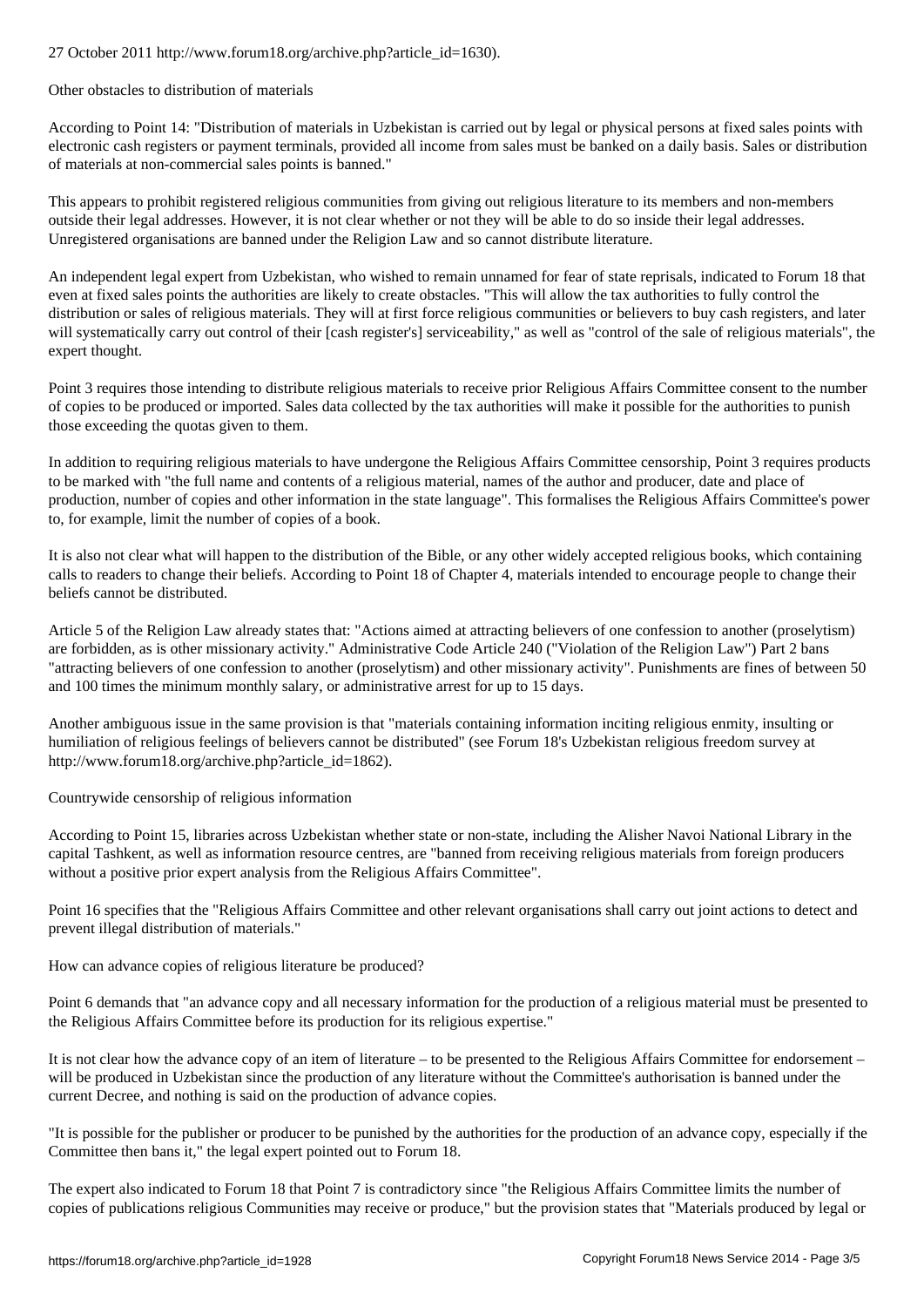Other obstacles to distribution of materials

According to Point 14: "Distribution of materials in Uzbekistan is carried out by legal or physical persons at fixed sales points with electronic cash registers or payment terminals, provided all income from sales must be banked on a daily basis. Sales or distribution of materials at non-commercial sales points is banned."

This appears to prohibit registered religious communities from giving out religious literature to its members and non-members outside their legal addresses. However, it is not clear whether or not they will be able to do so inside their legal addresses. Unregistered organisations are banned under the Religion Law and so cannot distribute literature.

An independent legal expert from Uzbekistan, who wished to remain unnamed for fear of state reprisals, indicated to Forum 18 that even at fixed sales points the authorities are likely to create obstacles. "This will allow the tax authorities to fully control the distribution or sales of religious materials. They will at first force religious communities or believers to buy cash registers, and later will systematically carry out control of their [cash register's] serviceability," as well as "control of the sale of religious materials", the expert thought.

Point 3 requires those intending to distribute religious materials to receive prior Religious Affairs Committee consent to the number of copies to be produced or imported. Sales data collected by the tax authorities will make it possible for the authorities to punish those exceeding the quotas given to them.

In addition to requiring religious materials to have undergone the Religious Affairs Committee censorship, Point 3 requires products to be marked with "the full name and contents of a religious material, names of the author and producer, date and place of production, number of copies and other information in the state language". This formalises the Religious Affairs Committee's power to, for example, limit the number of copies of a book.

It is also not clear what will happen to the distribution of the Bible, or any other widely accepted religious books, which containing calls to readers to change their beliefs. According to Point 18 of Chapter 4, materials intended to encourage people to change their beliefs cannot be distributed.

Article 5 of the Religion Law already states that: "Actions aimed at attracting believers of one confession to another (proselytism) are forbidden, as is other missionary activity." Administrative Code Article 240 ("Violation of the Religion Law") Part 2 bans "attracting believers of one confession to another (proselytism) and other missionary activity". Punishments are fines of between 50 and 100 times the minimum monthly salary, or administrative arrest for up to 15 days.

Another ambiguous issue in the same provision is that "materials containing information inciting religious enmity, insulting or humiliation of religious feelings of believers cannot be distributed" (see Forum 18's Uzbekistan religious freedom survey at http://www.forum18.org/archive.php?article\_id=1862).

Countrywide censorship of religious information

According to Point 15, libraries across Uzbekistan whether state or non-state, including the Alisher Navoi National Library in the capital Tashkent, as well as information resource centres, are "banned from receiving religious materials from foreign producers without a positive prior expert analysis from the Religious Affairs Committee".

Point 16 specifies that the "Religious Affairs Committee and other relevant organisations shall carry out joint actions to detect and prevent illegal distribution of materials."

How can advance copies of religious literature be produced?

Point 6 demands that "an advance copy and all necessary information for the production of a religious material must be presented to the Religious Affairs Committee before its production for its religious expertise."

It is not clear how the advance copy of an item of literature – to be presented to the Religious Affairs Committee for endorsement – will be produced in Uzbekistan since the production of any literature without the Committee's authorisation is banned under the current Decree, and nothing is said on the production of advance copies.

"It is possible for the publisher or producer to be punished by the authorities for the production of an advance copy, especially if the Committee then bans it," the legal expert pointed out to Forum 18.

The expert also indicated to Forum 18 that Point 7 is contradictory since "the Religious Affairs Committee limits the number of copies of publications religious Communities may receive or produce," but the provision states that "Materials produced by legal or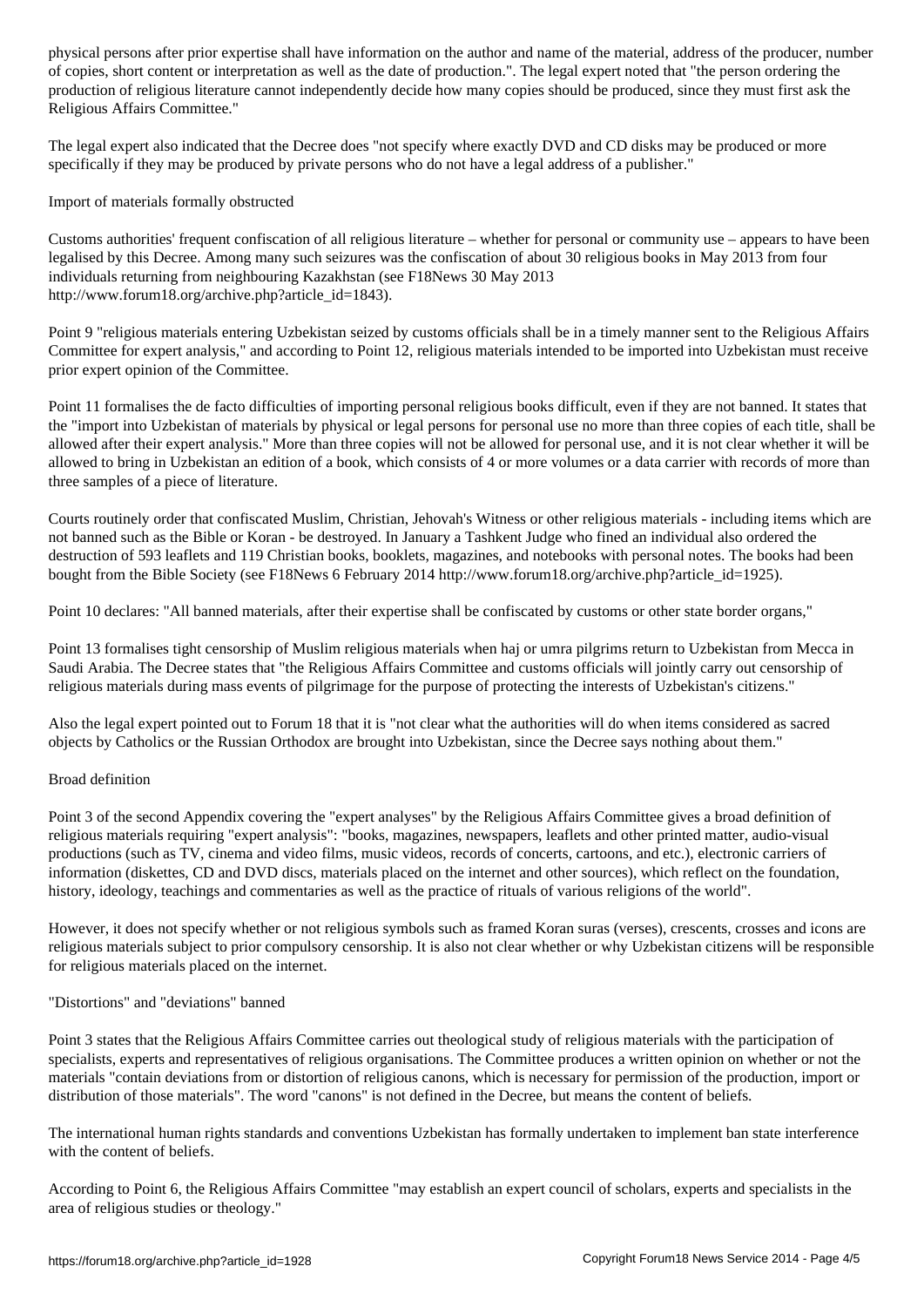of copies, short content or interpretation as well as the date of production.". The legal expert noted that "the person ordering the production of religious literature cannot independently decide how many copies should be produced, since they must first ask the Religious Affairs Committee."

The legal expert also indicated that the Decree does "not specify where exactly DVD and CD disks may be produced or more specifically if they may be produced by private persons who do not have a legal address of a publisher."

Import of materials formally obstructed

Customs authorities' frequent confiscation of all religious literature – whether for personal or community use – appears to have been legalised by this Decree. Among many such seizures was the confiscation of about 30 religious books in May 2013 from four individuals returning from neighbouring Kazakhstan (see F18News 30 May 2013 http://www.forum18.org/archive.php?article\_id=1843).

Point 9 "religious materials entering Uzbekistan seized by customs officials shall be in a timely manner sent to the Religious Affairs Committee for expert analysis," and according to Point 12, religious materials intended to be imported into Uzbekistan must receive prior expert opinion of the Committee.

Point 11 formalises the de facto difficulties of importing personal religious books difficult, even if they are not banned. It states that the "import into Uzbekistan of materials by physical or legal persons for personal use no more than three copies of each title, shall be allowed after their expert analysis." More than three copies will not be allowed for personal use, and it is not clear whether it will be allowed to bring in Uzbekistan an edition of a book, which consists of 4 or more volumes or a data carrier with records of more than three samples of a piece of literature.

Courts routinely order that confiscated Muslim, Christian, Jehovah's Witness or other religious materials - including items which are not banned such as the Bible or Koran - be destroyed. In January a Tashkent Judge who fined an individual also ordered the destruction of 593 leaflets and 119 Christian books, booklets, magazines, and notebooks with personal notes. The books had been bought from the Bible Society (see F18News 6 February 2014 http://www.forum18.org/archive.php?article\_id=1925).

Point 10 declares: "All banned materials, after their expertise shall be confiscated by customs or other state border organs,"

Point 13 formalises tight censorship of Muslim religious materials when haj or umra pilgrims return to Uzbekistan from Mecca in Saudi Arabia. The Decree states that "the Religious Affairs Committee and customs officials will jointly carry out censorship of religious materials during mass events of pilgrimage for the purpose of protecting the interests of Uzbekistan's citizens."

Also the legal expert pointed out to Forum 18 that it is "not clear what the authorities will do when items considered as sacred objects by Catholics or the Russian Orthodox are brought into Uzbekistan, since the Decree says nothing about them."

## Broad definition

Point 3 of the second Appendix covering the "expert analyses" by the Religious Affairs Committee gives a broad definition of religious materials requiring "expert analysis": "books, magazines, newspapers, leaflets and other printed matter, audio-visual productions (such as TV, cinema and video films, music videos, records of concerts, cartoons, and etc.), electronic carriers of information (diskettes, CD and DVD discs, materials placed on the internet and other sources), which reflect on the foundation, history, ideology, teachings and commentaries as well as the practice of rituals of various religions of the world".

However, it does not specify whether or not religious symbols such as framed Koran suras (verses), crescents, crosses and icons are religious materials subject to prior compulsory censorship. It is also not clear whether or why Uzbekistan citizens will be responsible for religious materials placed on the internet.

## "Distortions" and "deviations" banned

Point 3 states that the Religious Affairs Committee carries out theological study of religious materials with the participation of specialists, experts and representatives of religious organisations. The Committee produces a written opinion on whether or not the materials "contain deviations from or distortion of religious canons, which is necessary for permission of the production, import or distribution of those materials". The word "canons" is not defined in the Decree, but means the content of beliefs.

The international human rights standards and conventions Uzbekistan has formally undertaken to implement ban state interference with the content of beliefs.

According to Point 6, the Religious Affairs Committee "may establish an expert council of scholars, experts and specialists in the area of religious studies or theology."